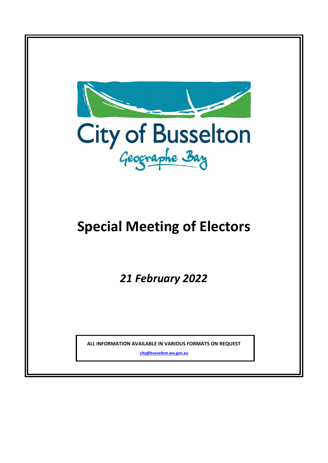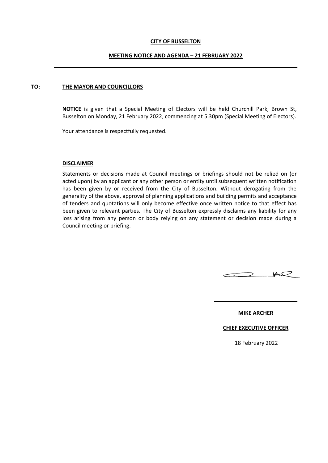### **CITY OF BUSSELTON**

### **MEETING NOTICE AND AGENDA – 21 FEBRUARY 2022**

#### **TO: THE MAYOR AND COUNCILLORS**

**NOTICE** is given that a Special Meeting of Electors will be held Churchill Park, Brown St, Busselton on Monday, 21 February 2022, commencing at 5.30pm (Special Meeting of Electors).

Your attendance is respectfully requested.

#### **DISCLAIMER**

Statements or decisions made at Council meetings or briefings should not be relied on (or acted upon) by an applicant or any other person or entity until subsequent written notification has been given by or received from the City of Busselton. Without derogating from the generality of the above, approval of planning applications and building permits and acceptance of tenders and quotations will only become effective once written notice to that effect has been given to relevant parties. The City of Busselton expressly disclaims any liability for any loss arising from any person or body relying on any statement or decision made during a Council meeting or briefing.



**MIKE ARCHER**

#### **CHIEF EXECUTIVE OFFICER**

18 February 2022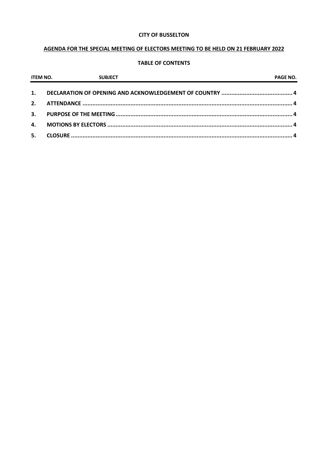### **CITY OF BUSSELTON**

# AGENDA FOR THE SPECIAL MEETING OF ELECTORS MEETING TO BE HELD ON 21 FEBRUARY 2022

## **TABLE OF CONTENTS**

| <b>ITEM NO.</b> | <b>SUBJECT</b><br><u> 2000 - Jan James James Jan James James James James James James James James James James James James James Jam</u> | <b>PAGE NO.</b> |
|-----------------|----------------------------------------------------------------------------------------------------------------------------------------|-----------------|
| 1.              |                                                                                                                                        |                 |
| 2.              |                                                                                                                                        |                 |
| 3.              |                                                                                                                                        |                 |
| 4.              |                                                                                                                                        |                 |
| 5.              |                                                                                                                                        |                 |